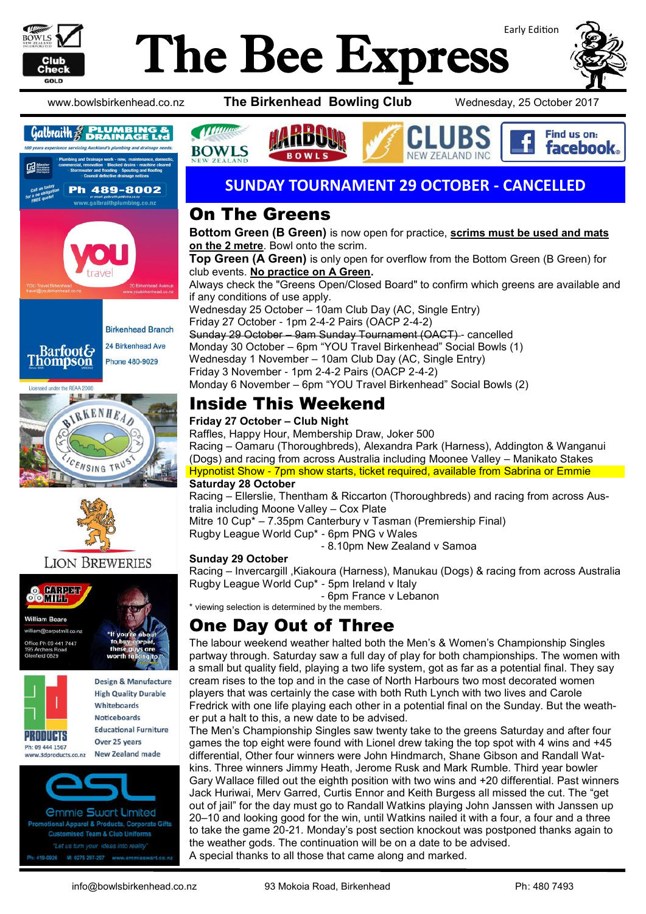

# Early Edition The Bee Express



Find us on: facebook.

www.bowlsbirkenhead.co.nz **The Birkenhead Bowling Club** Wednesday, 25 October 2017









### **LION BREWERIES**







**New Zealand made** vww.3dproducts.co.nz

*<u>Ommie Swart Limited</u>* tional Apparel & Products, Corporate Gifts **Customised Team & Club Uniforms** "Let us turn your ideas into reality 419-0926 M: 0275 297-297 www.emmieswart.

### **SUNDAY TOURNAMENT 29 OCTOBER - CANCELLED**

**7FAI AND INC** 

### On The Greens

*Mumme* 

**BOWLS** 

**Bottom Green (B Green)** is now open for practice, **scrims must be used and mats on the 2 metre**. Bowl onto the scrim. **Top Green (A Green)** is only open for overflow from the Bottom Green (B Green) for club events. **No practice on A Green.** Always check the "Greens Open/Closed Board" to confirm which greens are available and if any conditions of use apply. Wednesday 25 October – 10am Club Day (AC, Single Entry) Friday 27 October - 1pm 2-4-2 Pairs (OACP 2-4-2) Sunday 29 October – 9am Sunday Tournament (OACT) - cancelled Monday 30 October – 6pm "YOU Travel Birkenhead" Social Bowls (1) Wednesday 1 November – 10am Club Day (AC, Single Entry) Friday 3 November - 1pm 2-4-2 Pairs (OACP 2-4-2) Monday 6 November – 6pm "YOU Travel Birkenhead" Social Bowls (2)

# Inside This Weekend

#### **Friday 27 October – Club Night**

Raffles, Happy Hour, Membership Draw, Joker 500 Racing – Oamaru (Thoroughbreds), Alexandra Park (Harness), Addington & Wanganui (Dogs) and racing from across Australia including Moonee Valley – Manikato Stakes Hypnotist Show - 7pm show starts, ticket required, available from Sabrina or Emmie **Saturday 28 October** 

Racing – Ellerslie, Thentham & Riccarton (Thoroughbreds) and racing from across Australia including Moone Valley – Cox Plate

Mitre 10 Cup\* – 7.35pm Canterbury v Tasman (Premiership Final) Rugby League World Cup\* - 6pm PNG v Wales

- 8.10pm New Zealand v Samoa

### **Sunday 29 October**

Racing – Invercargill ,Kiakoura (Harness), Manukau (Dogs) & racing from across Australia Rugby League World Cup\* - 5pm Ireland v Italy

- 6pm France v Lebanon

### \* viewing selection is determined by the members. One Day Out of Three

The labour weekend weather halted both the Men's & Women's Championship Singles partway through. Saturday saw a full day of play for both championships. The women with a small but quality field, playing a two life system, got as far as a potential final. They say cream rises to the top and in the case of North Harbours two most decorated women players that was certainly the case with both Ruth Lynch with two lives and Carole Fredrick with one life playing each other in a potential final on the Sunday. But the weather put a halt to this, a new date to be advised.

The Men's Championship Singles saw twenty take to the greens Saturday and after four games the top eight were found with Lionel drew taking the top spot with 4 wins and +45 differential, Other four winners were John Hindmarch, Shane Gibson and Randall Watkins. Three winners Jimmy Heath, Jerome Rusk and Mark Rumble. Third year bowler Gary Wallace filled out the eighth position with two wins and +20 differential. Past winners Jack Huriwai, Merv Garred, Curtis Ennor and Keith Burgess all missed the cut. The "get out of jail" for the day must go to Randall Watkins playing John Janssen with Janssen up 20–10 and looking good for the win, until Watkins nailed it with a four, a four and a three to take the game 20-21. Monday's post section knockout was postponed thanks again to the weather gods. The continuation will be on a date to be advised. A special thanks to all those that came along and marked.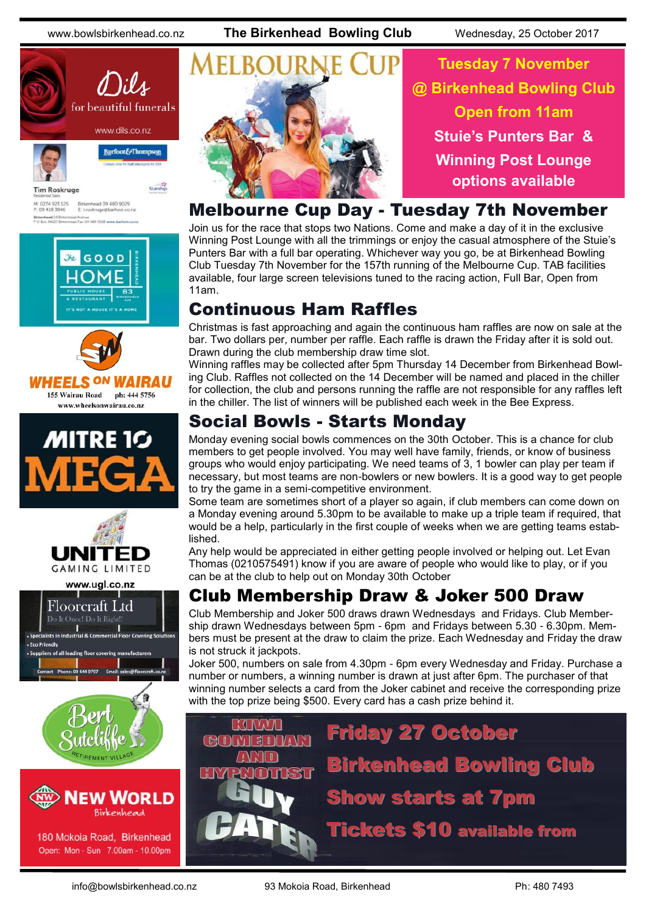www.bowlsbirkenhead.co.nz **The Birkenhead Bowling Club** Wednesday, 25 October 2017





Barfoot&Thompson



Starship

Birkenhead 09 480 9029<br>E: t.roskruge@barfoot.co M: 0274 923 125<br>P: 09 418 3846 Birkenhead 24 Brke<br>P O Box 34027 Birke









www.ugl.co.nz





180 Mokoia Road, Birkenhead Open: Mon - Sun 7.00am - 10.00pm



**Tuesday 7 November @ Birkenhead Bowling Club Open from 11am Stuie's Punters Bar & Winning Post Lounge options available**

### Melbourne Cup Day - Tuesday 7th November

Join us for the race that stops two Nations. Come and make a day of it in the exclusive Winning Post Lounge with all the trimmings or enjoy the casual atmosphere of the Stuie's Punters Bar with a full bar operating. Whichever way you go, be at Birkenhead Bowling Club Tuesday 7th November for the 157th running of the Melbourne Cup. TAB facilities available, four large screen televisions tuned to the racing action, Full Bar, Open from 11am.

# Continuous Ham Raffles

Christmas is fast approaching and again the continuous ham raffles are now on sale at the bar. Two dollars per, number per raffle. Each raffle is drawn the Friday after it is sold out. Drawn during the club membership draw time slot.

Winning raffles may be collected after 5pm Thursday 14 December from Birkenhead Bowling Club. Raffles not collected on the 14 December will be named and placed in the chiller for collection, the club and persons running the raffle are not responsible for any raffles left in the chiller. The list of winners will be published each week in the Bee Express.

# Social Bowls - Starts Monday

Monday evening social bowls commences on the 30th October. This is a chance for club members to get people involved. You may well have family, friends, or know of business groups who would enjoy participating. We need teams of 3, 1 bowler can play per team if necessary, but most teams are non-bowlers or new bowlers. It is a good way to get people to try the game in a semi-competitive environment.

Some team are sometimes short of a player so again, if club members can come down on a Monday evening around 5.30pm to be available to make up a triple team if required, that would be a help, particularly in the first couple of weeks when we are getting teams established.

Any help would be appreciated in either getting people involved or helping out. Let Evan Thomas [\(0210575491\)](tel:0210%20575%20491) know if you are aware of people who would like to play, or if you can be at the club to help out on Monday 30th October

## Club Membership Draw & Joker 500 Draw

Club Membership and Joker 500 draws drawn Wednesdays and Fridays. Club Membership drawn Wednesdays between 5pm - 6pm and Fridays between 5.30 - 6.30pm. Members must be present at the draw to claim the prize. Each Wednesday and Friday the draw is not struck it jackpots.

Joker 500, numbers on sale from 4.30pm - 6pm every Wednesday and Friday. Purchase a number or numbers, a winning number is drawn at just after 6pm. The purchaser of that winning number selects a card from the Joker cabinet and receive the corresponding prize with the top prize being \$500. Every card has a cash prize behind it.

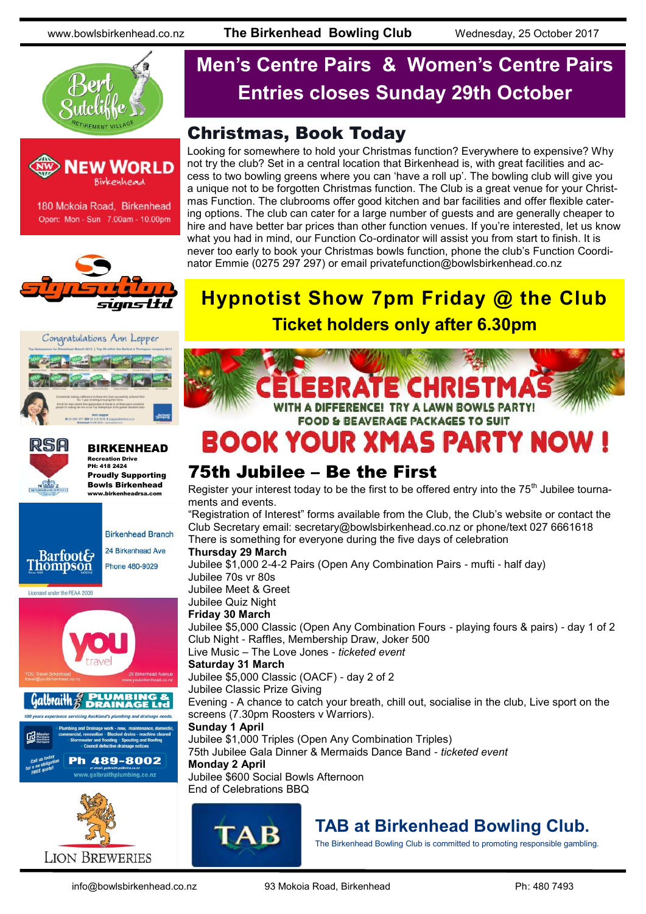



Open: Mon - Sun 7.00am - 10.00pm







#### BIRKENHEAD Recreation Drive PH: 418 2424

Proudly Supporting Bowls Birkenhead www.birkenheadrsa.com





# **Men's Centre Pairs & Women's Centre Pairs Entries closes Sunday 29th October**

## Christmas, Book Today

Looking for somewhere to hold your Christmas function? Everywhere to expensive? Why not try the club? Set in a central location that Birkenhead is, with great facilities and access to two bowling greens where you can 'have a roll up'. The bowling club will give you a unique not to be forgotten Christmas function. The Club is a great venue for your Christmas Function. The clubrooms offer good kitchen and bar facilities and offer flexible catering options. The club can cater for a large number of guests and are generally cheaper to hire and have better bar prices than other function venues. If you're interested, let us know what you had in mind, our Function Co-ordinator will assist you from start to finish. It is never too early to book your Christmas bowls function, phone the club's Function Coordinator Emmie (0275 297 297) or email [privatefunction@bowlsbirkenhead.co.nz](mailto:privatefunction@bowlsbirkenhead.co.nz)

# **Hypnotist Show 7pm Friday @ the Club Ticket holders only after 6.30pm**



# **BOOK YOUR XMAS PARTY NOW**

### 75th Jubilee – Be the First

Register your interest today to be the first to be offered entry into the  $75<sup>th</sup>$  Jubilee tournaments and events.

"Registration of Interest" forms available from the Club, the Club's website or contact the Club Secretary email: secretary@bowlsbirkenhead.co.nz or phone/text 027 6661618 There is something for everyone during the five days of celebration

#### **Thursday 29 March**

Jubilee \$1,000 2-4-2 Pairs (Open Any Combination Pairs - mufti - half day) Jubilee 70s vr 80s Jubilee Meet & Greet Jubilee Quiz Night **Friday 30 March** Jubilee \$5,000 Classic (Open Any Combination Fours - playing fours & pairs) - day 1 of 2

Club Night - Raffles, Membership Draw, Joker 500

Live Music – The Love Jones - *ticketed event*

### **Saturday 31 March**

Jubilee \$5,000 Classic (OACF) - day 2 of 2

Jubilee Classic Prize Giving

Evening - A chance to catch your breath, chill out, socialise in the club, Live sport on the screens (7.30pm Roosters v Warriors).

#### **Sunday 1 April**

Jubilee \$1,000 Triples (Open Any Combination Triples) 75th Jubilee Gala Dinner & Mermaids Dance Band - *ticketed event* **Monday 2 April** Jubilee \$600 Social Bowls Afternoon

### End of Celebrations BBQ



## **TAB at Birkenhead Bowling Club.**

The Birkenhead Bowling Club is committed to promoting responsible gambling.